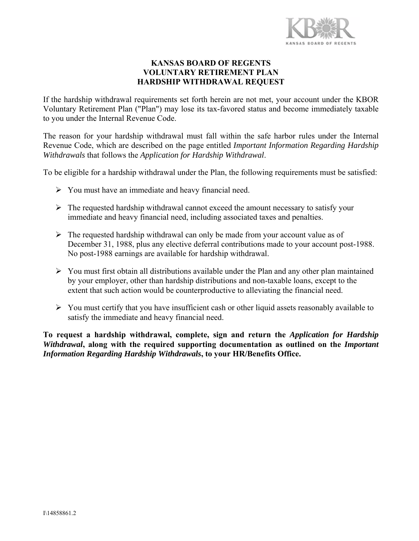

## **KANSAS BOARD OF REGENTS VOLUNTARY RETIREMENT PLAN HARDSHIP WITHDRAWAL REQUEST**

If the hardship withdrawal requirements set forth herein are not met, your account under the KBOR Voluntary Retirement Plan ("Plan") may lose its tax-favored status and become immediately taxable to you under the Internal Revenue Code.

The reason for your hardship withdrawal must fall within the safe harbor rules under the Internal Revenue Code, which are described on the page entitled *Important Information Regarding Hardship Withdrawals* that follows the *Application for Hardship Withdrawal*.

To be eligible for a hardship withdrawal under the Plan, the following requirements must be satisfied:

- You must have an immediate and heavy financial need.
- $\triangleright$  The requested hardship withdrawal cannot exceed the amount necessary to satisfy your immediate and heavy financial need, including associated taxes and penalties.
- $\triangleright$  The requested hardship withdrawal can only be made from your account value as of December 31, 1988, plus any elective deferral contributions made to your account post-1988. No post-1988 earnings are available for hardship withdrawal.
- $\triangleright$  You must first obtain all distributions available under the Plan and any other plan maintained by your employer, other than hardship distributions and non-taxable loans, except to the extent that such action would be counterproductive to alleviating the financial need.
- $\triangleright$  You must certify that you have insufficient cash or other liquid assets reasonably available to satisfy the immediate and heavy financial need.

**To request a hardship withdrawal, complete, sign and return the** *Application for Hardship Withdrawal*, along with the required supporting documentation as outlined on the *Important Information Regarding Hardship Withdrawals***, to your HR/Benefits Office.**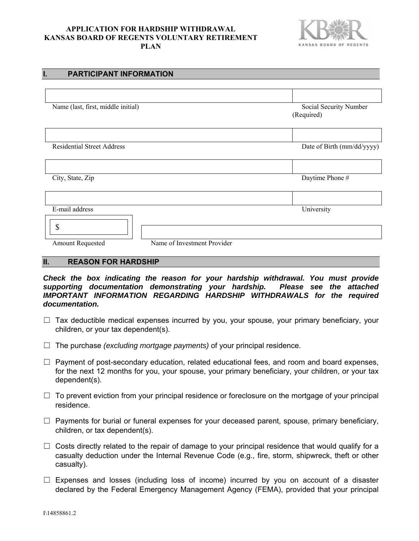#### **APPLICATION FOR HARDSHIP WITHDRAWAL KANSAS BOARD OF REGENTS VOLUNTARY RETIREMENT PLAN**



| ъ.<br><b>FARIIGIFANI INFORMATION</b>            |                                      |
|-------------------------------------------------|--------------------------------------|
|                                                 |                                      |
| Name (last, first, middle initial)              | Social Security Number<br>(Required) |
|                                                 |                                      |
| <b>Residential Street Address</b>               | Date of Birth (mm/dd/yyyy)           |
|                                                 |                                      |
| City, State, Zip                                | Daytime Phone #                      |
|                                                 |                                      |
| E-mail address                                  | University                           |
| \$                                              |                                      |
| Name of Investment Provider<br>Amount Requested |                                      |

### **II. REASON FOR HARDSHIP**

**I. PARTICIPANT INFORMATION** 

*Check the box indicating the reason for your hardship withdrawal. You must provide supporting documentation demonstrating your hardship. Please see the attached IMPORTANT INFORMATION REGARDING HARDSHIP WITHDRAWALS for the required documentation.* 

- $\Box$  Tax deductible medical expenses incurred by you, your spouse, your primary beneficiary, your children, or your tax dependent(s).
- ☐ The purchase *(excluding mortgage payments)* of your principal residence.
- $\Box$  Payment of post-secondary education, related educational fees, and room and board expenses, for the next 12 months for you, your spouse, your primary beneficiary, your children, or your tax dependent(s).
- $\Box$  To prevent eviction from your principal residence or foreclosure on the mortgage of your principal residence.
- $\Box$  Payments for burial or funeral expenses for your deceased parent, spouse, primary beneficiary, children, or tax dependent(s).
- $\Box$  Costs directly related to the repair of damage to your principal residence that would qualify for a casualty deduction under the Internal Revenue Code (e.g., fire, storm, shipwreck, theft or other casualty).
- $\Box$  Expenses and losses (including loss of income) incurred by you on account of a disaster declared by the Federal Emergency Management Agency (FEMA), provided that your principal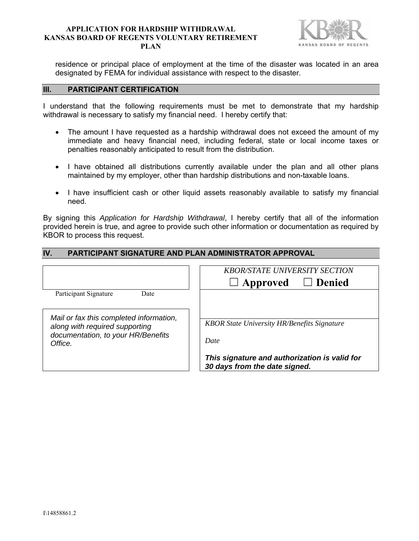#### **APPLICATION FOR HARDSHIP WITHDRAWAL KANSAS BOARD OF REGENTS VOLUNTARY RETIREMENT PLAN**



residence or principal place of employment at the time of the disaster was located in an area designated by FEMA for individual assistance with respect to the disaster.

## **III. PARTICIPANT CERTIFICATION**

I understand that the following requirements must be met to demonstrate that my hardship withdrawal is necessary to satisfy my financial need. I hereby certify that:

- The amount I have requested as a hardship withdrawal does not exceed the amount of my immediate and heavy financial need, including federal, state or local income taxes or penalties reasonably anticipated to result from the distribution.
- I have obtained all distributions currently available under the plan and all other plans maintained by my employer, other than hardship distributions and non-taxable loans.
- I have insufficient cash or other liquid assets reasonably available to satisfy my financial need.

By signing this *Application for Hardship Withdrawal*, I hereby certify that all of the information provided herein is true, and agree to provide such other information or documentation as required by KBOR to process this request.

| IV.<br><b>PARTICIPANT SIGNATURE AND PLAN ADMINISTRATOR APPROVAL</b> |                                                    |  |
|---------------------------------------------------------------------|----------------------------------------------------|--|
|                                                                     |                                                    |  |
|                                                                     | <b>KBOR/STATE UNIVERSITY SECTION</b>               |  |
|                                                                     | $\Box$ Denied<br>$\Box$ Approved                   |  |
| Participant Signature<br>Date                                       |                                                    |  |
|                                                                     |                                                    |  |
| Mail or fax this completed information,                             |                                                    |  |
| along with required supporting                                      | <b>KBOR State University HR/Benefits Signature</b> |  |
| documentation, to your HR/Benefits                                  | Date                                               |  |
| Office.                                                             |                                                    |  |
|                                                                     | This signature and authorization is valid for      |  |
|                                                                     | 30 days from the date signed.                      |  |